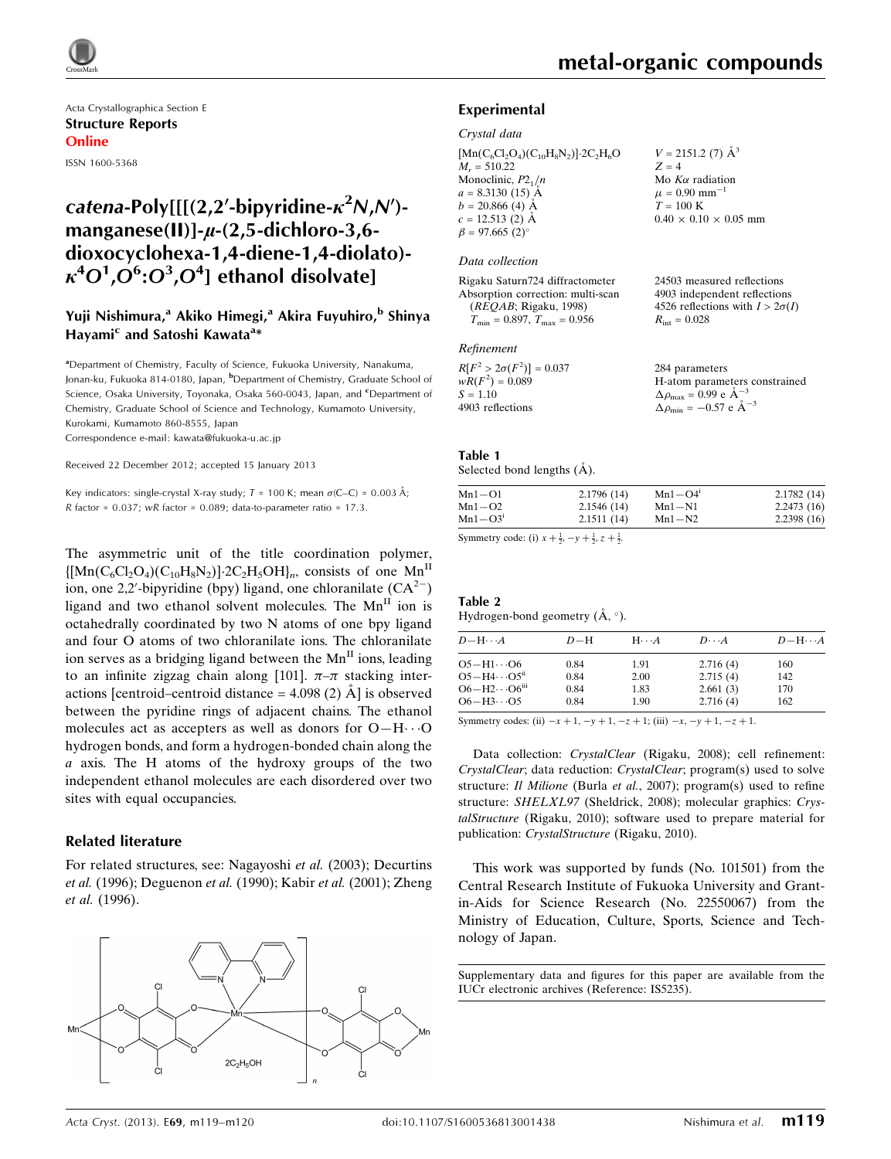Acta Crystallographica Section E Structure Reports Online ISSN 1600-5368

# catena-Poly[[[(2,2'-bipyridine- $\kappa^2$ N,N')manganese(II)]- $u$ -(2,5-dichloro-3,6dioxocyclohexa-1,4-diene-1,4-diolato)-  $\kappa^4{\rm O}^1$ , ${\rm O}^6$ : ${\rm O}^3$ , ${\rm O}^4$ ] ethanol disolvate]

## Yuji Nishimura,<sup>a</sup> Akiko Himegi,<sup>a</sup> Akira Fuyuhiro,<sup>b</sup> Shinya Hayami<sup>c</sup> and Satoshi Kawata<sup>a</sup>\*

<sup>a</sup>Department of Chemistry, Faculty of Science, Fukuoka University, Nanakuma, Jonan-ku, Fukuoka 814-0180, Japan, <sup>b</sup>Department of Chemistry, Graduate School of Science, Osaka University, Toyonaka, Osaka 560-0043, Japan, and *CDepartment* of Chemistry, Graduate School of Science and Technology, Kumamoto University, Kurokami, Kumamoto 860-8555, Japan

Correspondence e-mail: [kawata@fukuoka-u.ac.jp](https://scripts.iucr.org/cgi-bin/cr.cgi?rm=pdfbb&cnor=is5235&bbid=BB10)

Received 22 December 2012; accepted 15 January 2013

Key indicators: single-crystal X-ray study;  $T = 100$  K; mean  $\sigma$ (C–C) = 0.003 Å; R factor =  $0.037$ ; wR factor =  $0.089$ ; data-to-parameter ratio = 17.3.

The asymmetric unit of the title coordination polymer,  $\{[Mn(C_6Cl_2O_4)(C_{10}H_8N_2)]\cdot 2C_2H_5OH\}_n$ , consists of one  $Mn^H$ ion, one 2,2'-bipyridine (bpy) ligand, one chloranilate  $(CA<sup>2</sup>)$ ligand and two ethanol solvent molecules. The  $Mn^{\text{II}}$  ion is octahedrally coordinated by two N atoms of one bpy ligand and four O atoms of two chloranilate ions. The chloranilate ion serves as a bridging ligand between the  $Mn<sup>H</sup>$  ions, leading to an infinite zigzag chain along [101].  $\pi-\pi$  stacking interactions [centroid–centroid distance  $=$  4.098 (2)  $\AA$ ] is observed between the pyridine rings of adjacent chains. The ethanol molecules act as accepters as well as donors for  $O-H\cdots O$ hydrogen bonds, and form a hydrogen-bonded chain along the  $a$  axis. The H atoms of the hydroxy groups of the two independent ethanol molecules are each disordered over two sites with equal occupancies.

### Related literature

For related structures, see: Nagayoshi et al. (2003); Decurtins et al. (1996); Deguenon et al. (1990); Kabir et al. (2001); Zheng et al. (1996).



24503 measured reflections 4903 independent reflections 4526 reflections with  $I > 2\sigma(I)$ 

 $R_{\text{int}} = 0.028$ 

### Experimental

#### Crystal data

 $[Mn(C_6Cl_2O_4)(C_{10}H_8N_2)]$ -2C<sub>2</sub>H<sub>6</sub>O  $M_r = 510.22$ Monoclinic,  $P2_1/n$  $a = 8.3130(15)$  Å  $b = 20.866(4)$  Å  $c = 12.513(2)$  Å  $\beta = 97.665(2)$  $V = 2151.2$  (7)  $\AA^3$  $Z = 4$ Mo  $K\alpha$  radiation  $\mu = 0.90$  mm<sup>-1</sup>  $T = 100 \text{ K}$  $0.40 \times 0.10 \times 0.05$  mm

#### Data collection

Rigaku Saturn724 diffractometer Absorption correction: multi-scan (REQAB; Rigaku, 1998)  $T_{\text{min}} = 0.897, T_{\text{max}} = 0.956$ 

#### Refinement

| $wR(F^2) = 0.089$<br>H-atom parameters constrained                  |  |
|---------------------------------------------------------------------|--|
| $\Delta \rho_{\text{max}} = 0.99$ e $\AA^{-3}$<br>$S = 1.10$        |  |
| $\Delta \rho_{\text{min}} = -0.57$ e $\AA^{-3}$<br>4903 reflections |  |

#### Table 1

Selected bond lengths  $(A)$ .

| $Mn1 - O1$  | 2.1796(14) | $Mn1 - O4$ <sup>1</sup> | 2.1782(14) |
|-------------|------------|-------------------------|------------|
| $Mn1 - O2$  | 2.1546(14) | $Mn1-N1$                | 2.2473(16) |
| $Mn1 - O3i$ | 2.1511(14) | $Mn1-N2$                | 2.2398(16) |

Symmetry code: (i)  $x + \frac{1}{2}, -y + \frac{1}{2}, z + \frac{1}{2}$ .

#### Table 2 Hydrogen-bond geometry  $(A, \circ)$ .

| $D-H$ | $H \cdot \cdot \cdot A$ | $D\cdots A$ | $D - H \cdots A$ |  |
|-------|-------------------------|-------------|------------------|--|
| 0.84  | 1.91                    | 2.716(4)    | 160              |  |
| 0.84  | 2.00                    | 2.715(4)    | 142              |  |
| 0.84  | 1.83                    | 2.661(3)    | 170              |  |
| 0.84  | 1.90                    | 2.716(4)    | 162              |  |
|       |                         |             |                  |  |

Symmetry codes: (ii)  $-x + 1$ ,  $-y + 1$ ,  $-z + 1$ ; (iii)  $-x$ ,  $-y + 1$ ,  $-z + 1$ .

Data collection: CrystalClear (Rigaku, 2008); cell refinement: CrystalClear; data reduction: CrystalClear; program(s) used to solve structure: Il Milione (Burla et al., 2007); program(s) used to refine structure: SHELXL97 (Sheldrick, 2008); molecular graphics: CrystalStructure (Rigaku, 2010); software used to prepare material for publication: CrystalStructure (Rigaku, 2010).

This work was supported by funds (No. 101501) from the Central Research Institute of Fukuoka University and Grantin-Aids for Science Research (No. 22550067) from the Ministry of Education, Culture, Sports, Science and Technology of Japan.

Supplementary data and figures for this paper are available from the IUCr electronic archives (Reference: IS5235).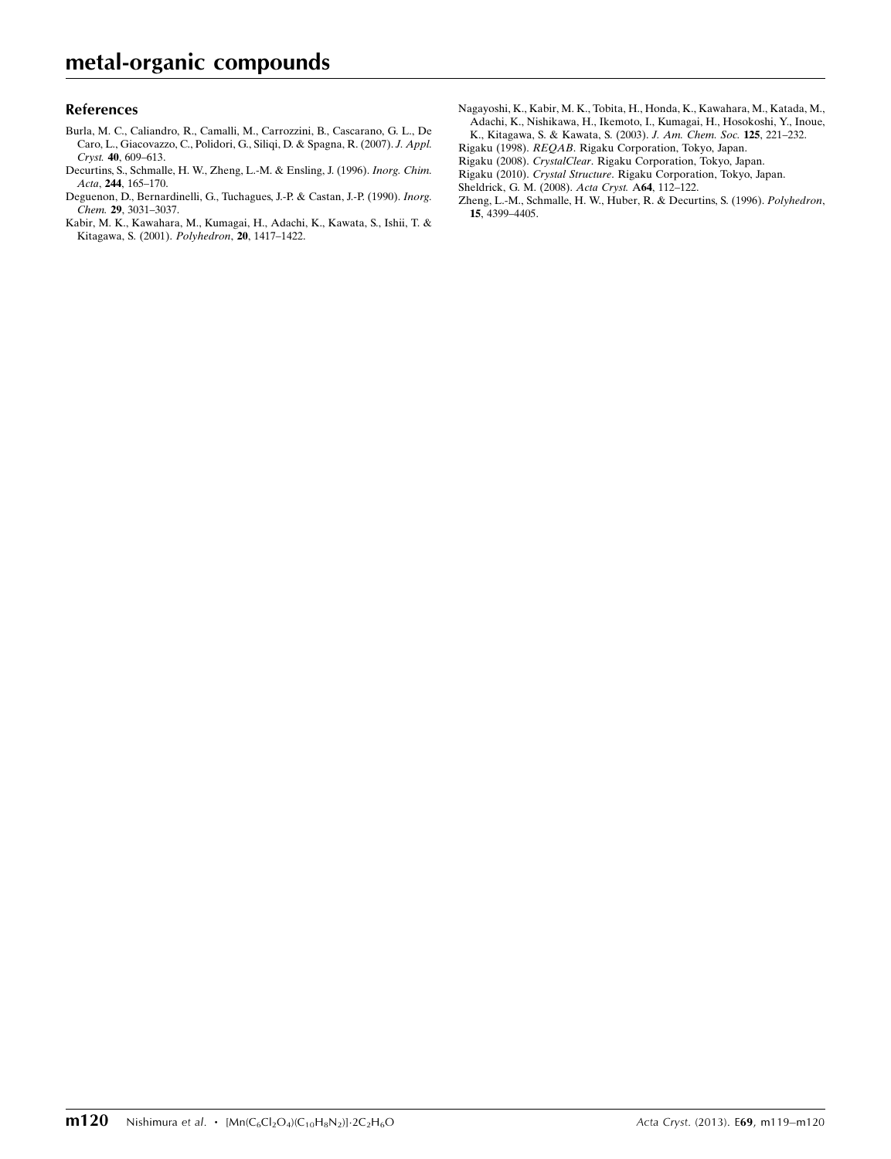### References

- [Burla, M. C., Caliandro, R., Camalli, M., Carrozzini, B., Cascarano, G. L., De](https://scripts.iucr.org/cgi-bin/cr.cgi?rm=pdfbb&cnor=is5235&bbid=BB1) [Caro, L., Giacovazzo, C., Polidori, G., Siliqi, D. & Spagna, R. \(2007\).](https://scripts.iucr.org/cgi-bin/cr.cgi?rm=pdfbb&cnor=is5235&bbid=BB1) J. Appl. Cryst. 40[, 609–613.](https://scripts.iucr.org/cgi-bin/cr.cgi?rm=pdfbb&cnor=is5235&bbid=BB1)
- [Decurtins, S., Schmalle, H. W., Zheng, L.-M. & Ensling, J. \(1996\).](https://scripts.iucr.org/cgi-bin/cr.cgi?rm=pdfbb&cnor=is5235&bbid=BB2) Inorg. Chim. Acta, 244[, 165–170.](https://scripts.iucr.org/cgi-bin/cr.cgi?rm=pdfbb&cnor=is5235&bbid=BB2)
- [Deguenon, D., Bernardinelli, G., Tuchagues, J.-P. & Castan, J.-P. \(1990\).](https://scripts.iucr.org/cgi-bin/cr.cgi?rm=pdfbb&cnor=is5235&bbid=BB3) Inorg. Chem. 29[, 3031–3037.](https://scripts.iucr.org/cgi-bin/cr.cgi?rm=pdfbb&cnor=is5235&bbid=BB3)
- [Kabir, M. K., Kawahara, M., Kumagai, H., Adachi, K., Kawata, S., Ishii, T. &](https://scripts.iucr.org/cgi-bin/cr.cgi?rm=pdfbb&cnor=is5235&bbid=BB4) [Kitagawa, S. \(2001\).](https://scripts.iucr.org/cgi-bin/cr.cgi?rm=pdfbb&cnor=is5235&bbid=BB4) Polyhedron, 20, 1417–1422.
- [Nagayoshi, K., Kabir, M. K., Tobita, H., Honda, K., Kawahara, M., Katada, M.,](https://scripts.iucr.org/cgi-bin/cr.cgi?rm=pdfbb&cnor=is5235&bbid=BB5) [Adachi, K., Nishikawa, H., Ikemoto, I., Kumagai, H., Hosokoshi, Y., Inoue,](https://scripts.iucr.org/cgi-bin/cr.cgi?rm=pdfbb&cnor=is5235&bbid=BB5) [K., Kitagawa, S. & Kawata, S. \(2003\).](https://scripts.iucr.org/cgi-bin/cr.cgi?rm=pdfbb&cnor=is5235&bbid=BB5) J. Am. Chem. Soc. 125, 221–232.
- Rigaku (1998). REQAB[. Rigaku Corporation, Tokyo, Japan.](https://scripts.iucr.org/cgi-bin/cr.cgi?rm=pdfbb&cnor=is5235&bbid=BB6)
- Rigaku (2008). CrystalClear[. Rigaku Corporation, Tokyo, Japan.](https://scripts.iucr.org/cgi-bin/cr.cgi?rm=pdfbb&cnor=is5235&bbid=BB7)
- Rigaku (2010). Crystal Structure[. Rigaku Corporation, Tokyo, Japan.](https://scripts.iucr.org/cgi-bin/cr.cgi?rm=pdfbb&cnor=is5235&bbid=BB8)

[Sheldrick, G. M. \(2008\).](https://scripts.iucr.org/cgi-bin/cr.cgi?rm=pdfbb&cnor=is5235&bbid=BB9) Acta Cryst. A64, 112–122.

[Zheng, L.-M., Schmalle, H. W., Huber, R. & Decurtins, S. \(1996\).](https://scripts.iucr.org/cgi-bin/cr.cgi?rm=pdfbb&cnor=is5235&bbid=BB10) Polyhedron, 15[, 4399–4405.](https://scripts.iucr.org/cgi-bin/cr.cgi?rm=pdfbb&cnor=is5235&bbid=BB10)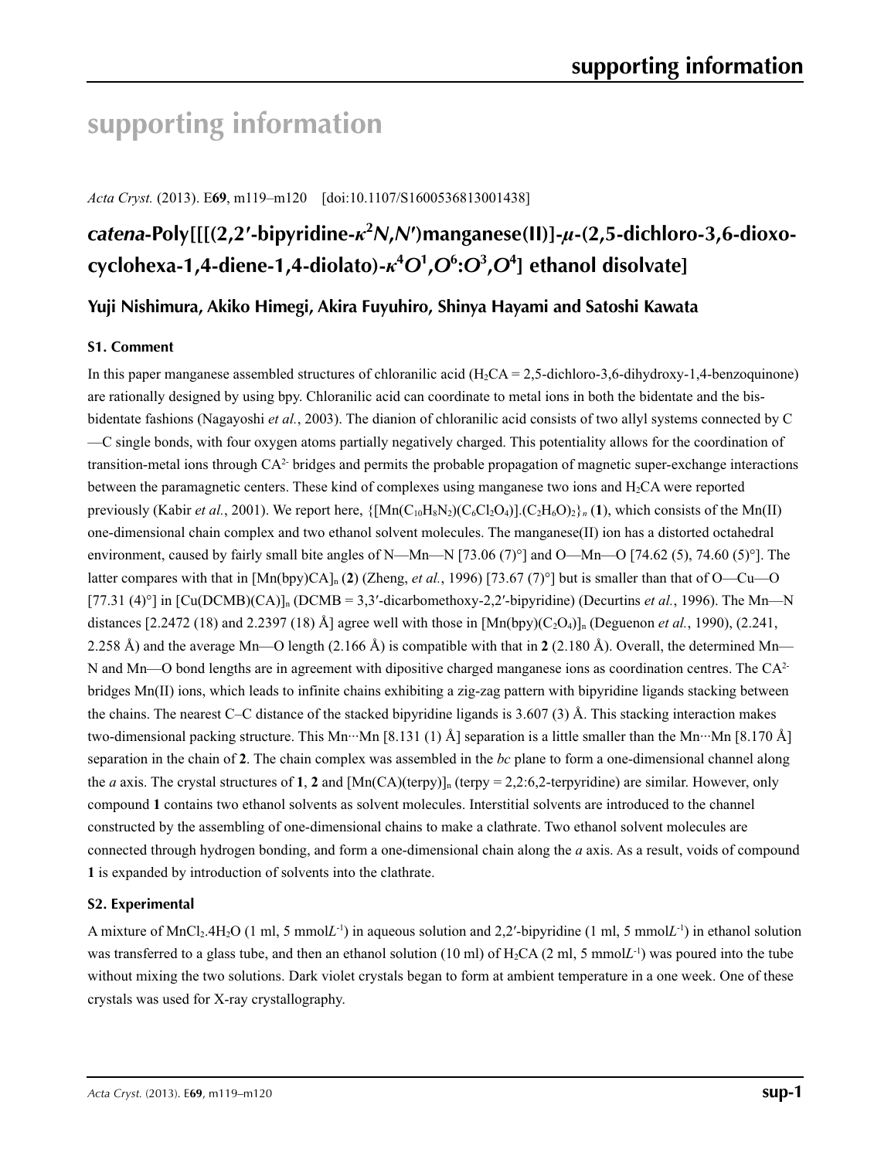# **supporting information**

*Acta Cryst.* (2013). E**69**, m119–m120 [doi:10.1107/S1600536813001438]

# *catena***-Poly[[[(2,2′-bipyridine-***κ***<sup>2</sup>** *N***,***N***′)manganese(II)]-***µ***-(2,5-dichloro-3,6-dioxocyclohexa-1,4-diene-1,4-diolato)-***κ***<sup>4</sup>** *O***<sup>1</sup> ,***O***<sup>6</sup> :***O***<sup>3</sup> ,***O***<sup>4</sup> ] ethanol disolvate]**

# **Yuji Nishimura, Akiko Himegi, Akira Fuyuhiro, Shinya Hayami and Satoshi Kawata**

# **S1. Comment**

In this paper manganese assembled structures of chloranilic acid  $(H<sub>2</sub>CA = 2.5$ -dichloro-3.6-dihydroxy-1.4-benzoquinone) are rationally designed by using bpy. Chloranilic acid can coordinate to metal ions in both the bidentate and the bisbidentate fashions (Nagayoshi *et al.*, 2003). The dianion of chloranilic acid consists of two allyl systems connected by C —C single bonds, with four oxygen atoms partially negatively charged. This potentiality allows for the coordination of transition-metal ions through CA2- bridges and permits the probable propagation of magnetic super-exchange interactions between the paramagnetic centers. These kind of complexes using manganese two ions and  $H_2CA$  were reported previously (Kabir *et al.*, 2001). We report here,  $\{[Mn(C_{10}H_8N_2)(C_6Cl_2O_4)]$ .  $(C_2H_6O)_2\}$ <sub>n</sub> (1), which consists of the Mn(II) one-dimensional chain complex and two ethanol solvent molecules. The manganese(II) ion has a distorted octahedral environment, caused by fairly small bite angles of N—Mn—N [73.06 (7)°] and O—Mn—O [74.62 (5), 74.60 (5)°]. The latter compares with that in  $[Mn(bpy)CA]_n$  (2) (Zheng, *et al.*, 1996) [73.67 (7)°] but is smaller than that of O—Cu—O [77.31 (4)°] in  $\text{[Cu(DCMB)(CA)]}_n$  (DCMB = 3,3'-dicarbomethoxy-2,2'-bipyridine) (Decurtins *et al.*, 1996). The Mn—N distances  $[2.2472 (18)$  and  $2.2397 (18)$  Å] agree well with those in  $[Mn(bpy)(C<sub>2</sub>O<sub>4</sub>)]<sub>n</sub>$  (Deguenon *et al.*, 1990), (2.241, 2.258 Å) and the average Mn—O length (2.166 Å) is compatible with that in **2** (2.180 Å). Overall, the determined Mn— N and Mn—O bond lengths are in agreement with dipositive charged manganese ions as coordination centres. The  $CA<sup>2</sup>$ bridges Mn(II) ions, which leads to infinite chains exhibiting a zig-zag pattern with bipyridine ligands stacking between the chains. The nearest C–C distance of the stacked bipyridine ligands is  $3.607(3)$  Å. This stacking interaction makes two-dimensional packing structure. This Mn···Mn [8.131 (1) Å] separation is a little smaller than the Mn···Mn [8.170 Å] separation in the chain of **2**. The chain complex was assembled in the *bc* plane to form a one-dimensional channel along the *a* axis. The crystal structures of **1**, **2** and  $[Mn(CA)(\text{terpy})]_n$  (terpy = 2,2:6,2-terpyridine) are similar. However, only compound **1** contains two ethanol solvents as solvent molecules. Interstitial solvents are introduced to the channel constructed by the assembling of one-dimensional chains to make a clathrate. Two ethanol solvent molecules are connected through hydrogen bonding, and form a one-dimensional chain along the *a* axis. As a result, voids of compound **1** is expanded by introduction of solvents into the clathrate.

# **S2. Experimental**

A mixture of MnCl<sub>2</sub>.4H<sub>2</sub>O (1 ml, 5 mmolL<sup>-1</sup>) in aqueous solution and 2,2'-bipyridine (1 ml, 5 mmolL<sup>-1</sup>) in ethanol solution was transferred to a glass tube, and then an ethanol solution (10 ml) of H2CA (2 ml, 5 mmol*L*-1) was poured into the tube without mixing the two solutions. Dark violet crystals began to form at ambient temperature in a one week. One of these crystals was used for X-ray crystallography.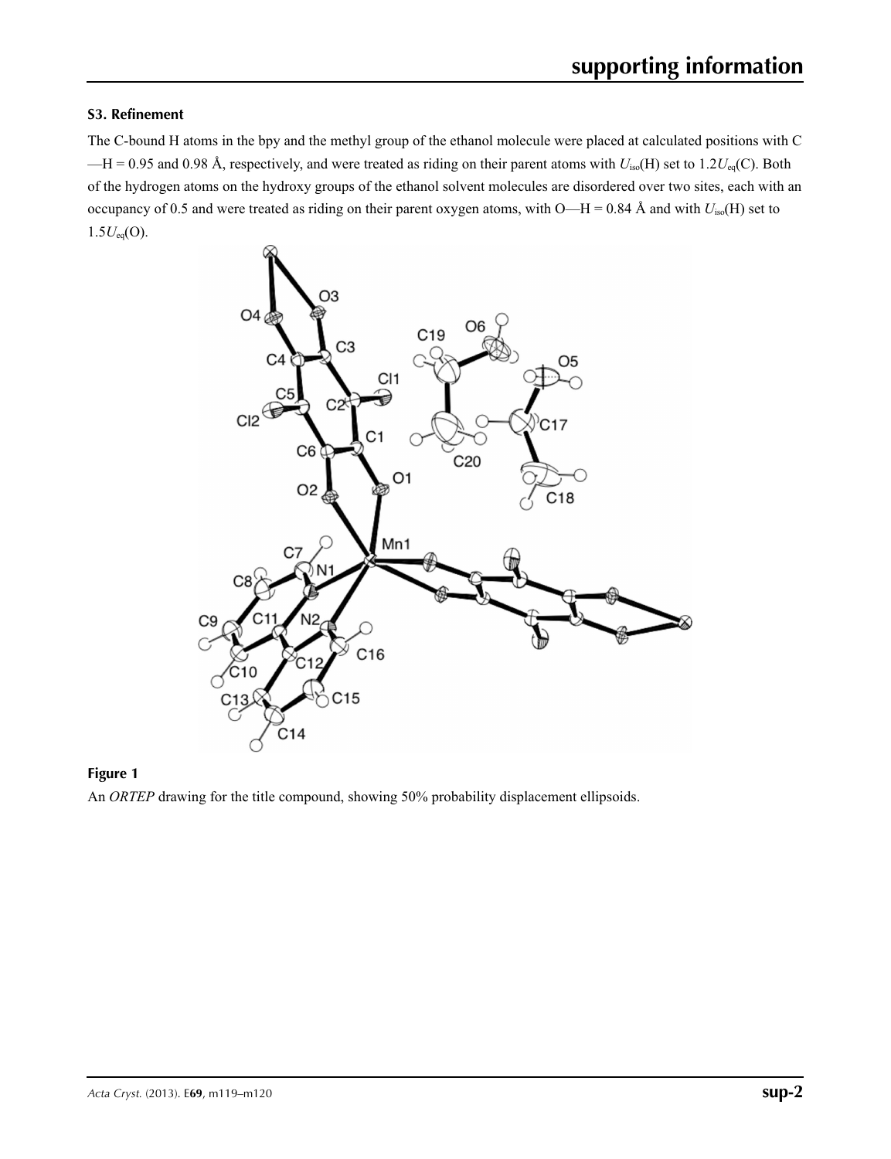## **S3. Refinement**

The C-bound H atoms in the bpy and the methyl group of the ethanol molecule were placed at calculated positions with C  $-H = 0.95$  and 0.98 Å, respectively, and were treated as riding on their parent atoms with  $U_{iso}(H)$  set to 1.2 $U_{eq}(C)$ . Both of the hydrogen atoms on the hydroxy groups of the ethanol solvent molecules are disordered over two sites, each with an occupancy of 0.5 and were treated as riding on their parent oxygen atoms, with  $O-H = 0.84$  Å and with  $U_{iso}(H)$  set to  $1.5U_{eq}(O)$ .



## **Figure 1**

An *ORTEP* drawing for the title compound, showing 50% probability displacement ellipsoids.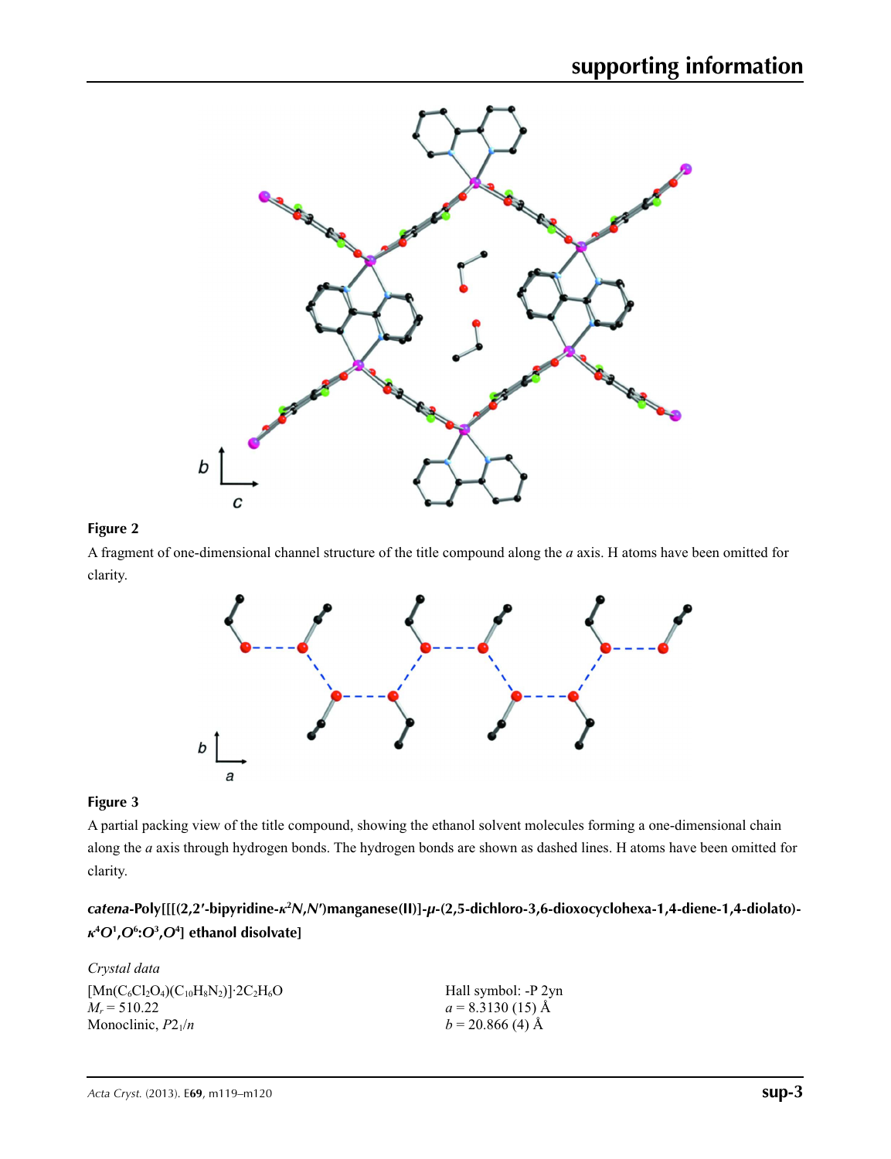

## **Figure 2**

A fragment of one-dimensional channel structure of the title compound along the *a* axis. H atoms have been omitted for clarity.



## **Figure 3**

A partial packing view of the title compound, showing the ethanol solvent molecules forming a one-dimensional chain along the *a* axis through hydrogen bonds. The hydrogen bonds are shown as dashed lines. H atoms have been omitted for clarity.

# *catena***-Poly[[[(2,2′-bipyridine-***κ***<sup>2</sup>** *N***,***N***′)manganese(II)]-***µ***-(2,5-dichloro-3,6-dioxocyclohexa-1,4-diene-1,4-diolato)** *κ***4** *O***<sup>1</sup> ,***O***<sup>6</sup> :***O***<sup>3</sup> ,***O***<sup>4</sup> ] ethanol disolvate]**

| Crystal data                                                            |                     |
|-------------------------------------------------------------------------|---------------------|
| $[{\rm Mn}(C_6Cl_2O_4)(C_{10}H_8N_2)]$ 2C <sub>2</sub> H <sub>6</sub> O | Hall symbol: -P 2yn |
| $M_r = 510.22$                                                          | $a = 8.3130(15)$ Å  |
| Monoclinic, $P2_1/n$                                                    | $b = 20.866$ (4) Å  |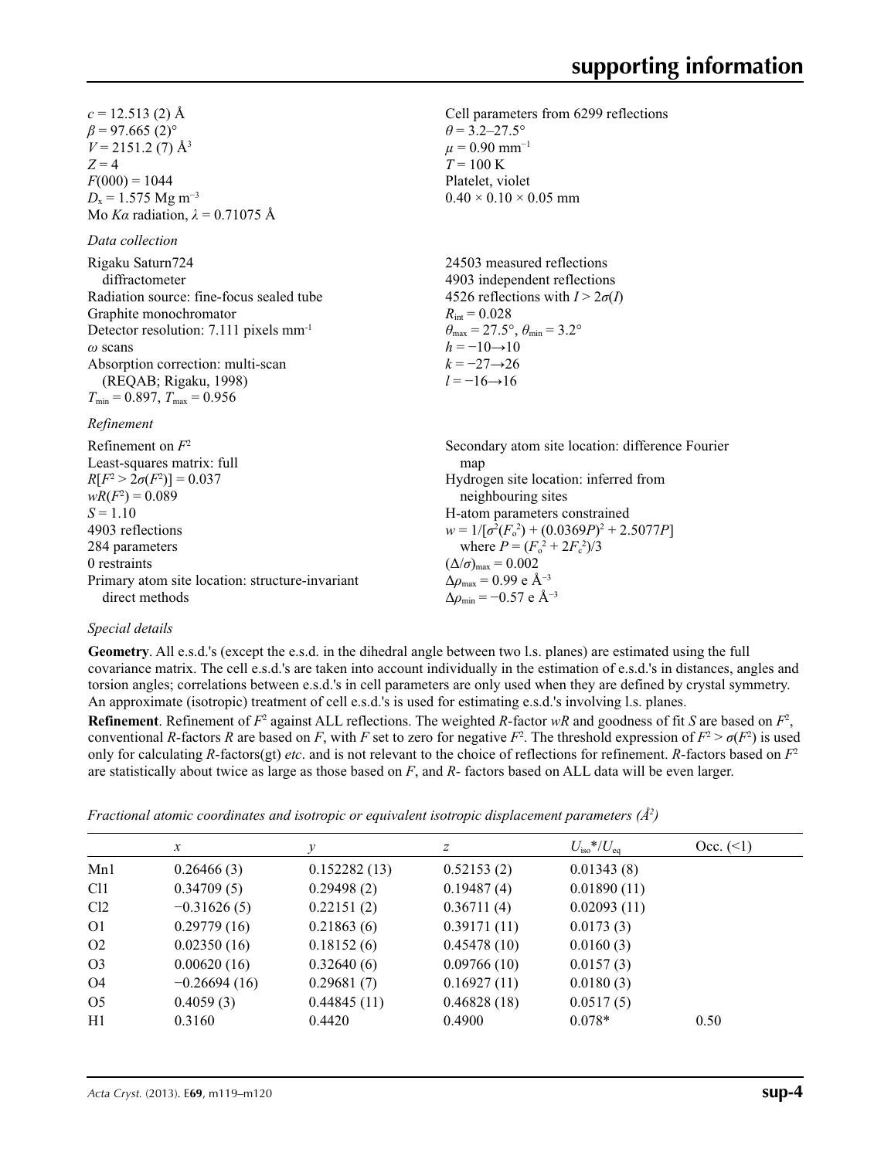Cell parameters from 6299 reflections

24503 measured reflections 4903 independent reflections 4526 reflections with  $I > 2\sigma(I)$ 

 $\theta_{\text{max}} = 27.5^{\circ}, \theta_{\text{min}} = 3.2^{\circ}$ 

 $\theta$  = 3.2–27.5°  $\mu$  = 0.90 mm<sup>-1</sup>  $T = 100 \text{ K}$ Platelet, violet  $0.40 \times 0.10 \times 0.05$  mm

 $R_{\text{int}} = 0.028$ 

 $h = -10 \rightarrow 10$  $k = -27 \rightarrow 26$  $l = -16 \rightarrow 16$ 

 $c = 12.513$  (2) Å  $\beta$  = 97.665 (2)<sup>o</sup>  $V = 2151.2$  (7) Å<sup>3</sup>  $Z = 4$  $F(000) = 1044$  $D_x = 1.575$  Mg m<sup>-3</sup> Mo *Kα* radiation, *λ* = 0.71075 Å

*Data collection*

| Rigaku Saturn724                                   |  |
|----------------------------------------------------|--|
| diffractometer                                     |  |
| Radiation source: fine-focus sealed tube           |  |
| Graphite monochromator                             |  |
| Detector resolution: 7.111 pixels mm <sup>-1</sup> |  |
| $\omega$ scans                                     |  |
| Absorption correction: multi-scan                  |  |
| (REQAB; Rigaku, 1998)                              |  |
| $T_{\min}$ = 0.897, $T_{\max}$ = 0.956             |  |

#### *Refinement*

| Refinement on $F^2$                             | Secondary atom site location: difference Fourier   |
|-------------------------------------------------|----------------------------------------------------|
| Least-squares matrix: full                      | map                                                |
| $R[F^2 > 2\sigma(F^2)] = 0.037$                 | Hydrogen site location: inferred from              |
| $wR(F^2) = 0.089$                               | neighbouring sites                                 |
| $S = 1.10$                                      | H-atom parameters constrained                      |
| 4903 reflections                                | $w = 1/[\sigma^2(F_0^2) + (0.0369P)^2 + 2.5077P]$  |
| 284 parameters                                  | where $P = (F_o^2 + 2F_c^2)/3$                     |
| 0 restraints                                    | $(\Delta/\sigma)_{\text{max}} = 0.002$             |
| Primary atom site location: structure-invariant | $\Delta\rho_{\text{max}}$ = 0.99 e Å <sup>-3</sup> |
| direct methods                                  | $\Delta\rho_{\rm min} = -0.57$ e Å <sup>-3</sup>   |

### *Special details*

**Geometry**. All e.s.d.'s (except the e.s.d. in the dihedral angle between two l.s. planes) are estimated using the full covariance matrix. The cell e.s.d.'s are taken into account individually in the estimation of e.s.d.'s in distances, angles and torsion angles; correlations between e.s.d.'s in cell parameters are only used when they are defined by crystal symmetry. An approximate (isotropic) treatment of cell e.s.d.'s is used for estimating e.s.d.'s involving l.s. planes.

**Refinement**. Refinement of  $F^2$  against ALL reflections. The weighted R-factor wR and goodness of fit *S* are based on  $F^2$ , conventional *R*-factors *R* are based on *F*, with *F* set to zero for negative  $F^2$ . The threshold expression of  $F^2 > \sigma(F^2)$  is used only for calculating *R*-factors(gt) *etc*. and is not relevant to the choice of reflections for refinement. *R*-factors based on *F*<sup>2</sup> are statistically about twice as large as those based on *F*, and *R*- factors based on ALL data will be even larger.

| Fractional atomic coordinates and isotropic or equivalent isotropic displacement parameters $(A^2)$ |  |  |  |  |  |  |
|-----------------------------------------------------------------------------------------------------|--|--|--|--|--|--|
|-----------------------------------------------------------------------------------------------------|--|--|--|--|--|--|

|                 | $\mathcal{X}$  |              | Ζ           | $U_{\rm iso}$ */ $U_{\rm eq}$ | Occ. (2) |
|-----------------|----------------|--------------|-------------|-------------------------------|----------|
| Mn1             | 0.26466(3)     | 0.152282(13) | 0.52153(2)  | 0.01343(8)                    |          |
| C <sub>11</sub> | 0.34709(5)     | 0.29498(2)   | 0.19487(4)  | 0.01890(11)                   |          |
| Cl <sub>2</sub> | $-0.31626(5)$  | 0.22151(2)   | 0.36711(4)  | 0.02093(11)                   |          |
| O <sub>1</sub>  | 0.29779(16)    | 0.21863(6)   | 0.39171(11) | 0.0173(3)                     |          |
| O <sub>2</sub>  | 0.02350(16)    | 0.18152(6)   | 0.45478(10) | 0.0160(3)                     |          |
| O <sub>3</sub>  | 0.00620(16)    | 0.32640(6)   | 0.09766(10) | 0.0157(3)                     |          |
| O4              | $-0.26694(16)$ | 0.29681(7)   | 0.16927(11) | 0.0180(3)                     |          |
| O <sub>5</sub>  | 0.4059(3)      | 0.44845(11)  | 0.46828(18) | 0.0517(5)                     |          |
| H1              | 0.3160         | 0.4420       | 0.4900      | $0.078*$                      | 0.50     |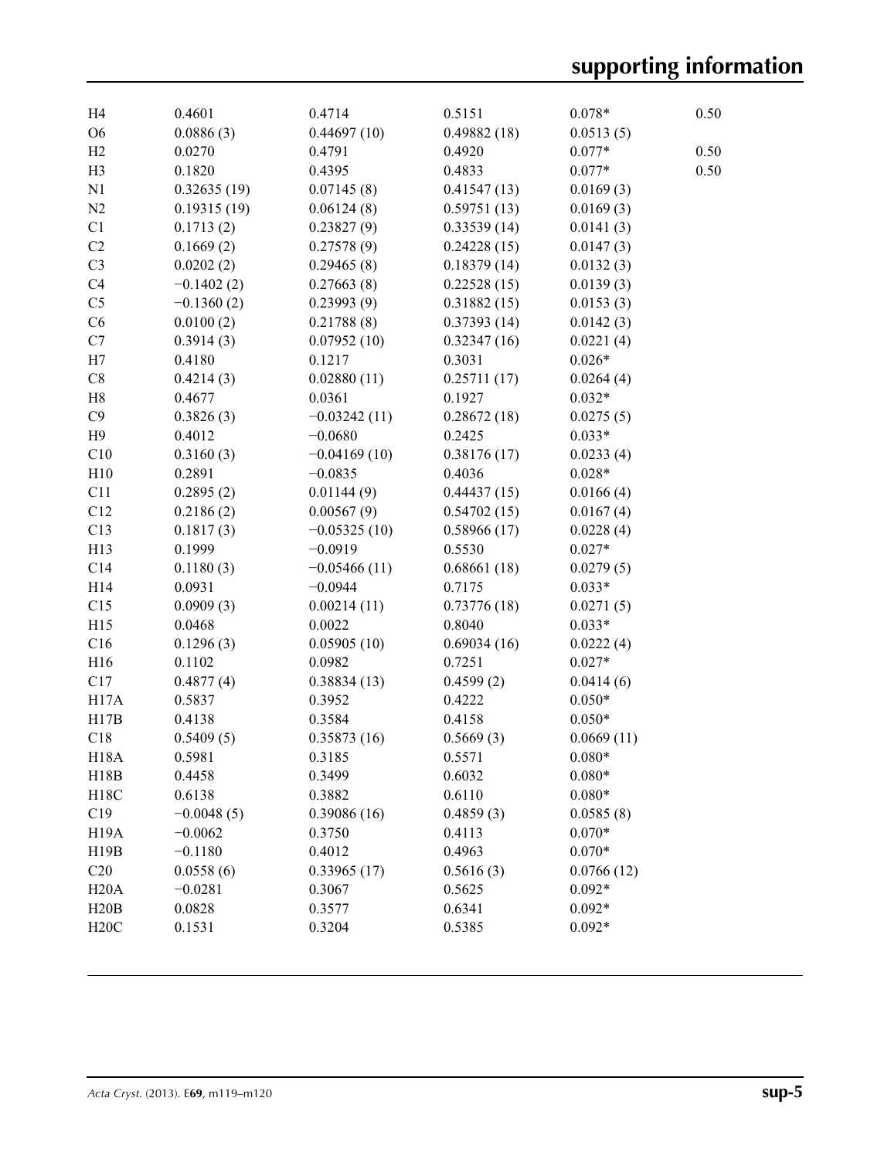| H <sub>4</sub>    | 0.4601       | 0.4714         | 0.5151      | $0.078*$   | 0.50 |
|-------------------|--------------|----------------|-------------|------------|------|
| O <sub>6</sub>    | 0.0886(3)    | 0.44697(10)    | 0.49882(18) | 0.0513(5)  |      |
| H <sub>2</sub>    | 0.0270       | 0.4791         | 0.4920      | $0.077*$   | 0.50 |
| H <sub>3</sub>    | 0.1820       | 0.4395         | 0.4833      | $0.077*$   | 0.50 |
| N1                | 0.32635(19)  | 0.07145(8)     | 0.41547(13) | 0.0169(3)  |      |
| N <sub>2</sub>    | 0.19315(19)  | 0.06124(8)     | 0.59751(13) | 0.0169(3)  |      |
| C1                | 0.1713(2)    | 0.23827(9)     | 0.33539(14) | 0.0141(3)  |      |
| C2                | 0.1669(2)    | 0.27578(9)     | 0.24228(15) | 0.0147(3)  |      |
| C <sub>3</sub>    | 0.0202(2)    | 0.29465(8)     | 0.18379(14) | 0.0132(3)  |      |
| C <sub>4</sub>    | $-0.1402(2)$ | 0.27663(8)     | 0.22528(15) | 0.0139(3)  |      |
| C <sub>5</sub>    | $-0.1360(2)$ | 0.23993(9)     | 0.31882(15) | 0.0153(3)  |      |
| C6                | 0.0100(2)    | 0.21788(8)     | 0.37393(14) | 0.0142(3)  |      |
| C7                | 0.3914(3)    | 0.07952(10)    | 0.32347(16) | 0.0221(4)  |      |
| H7                | 0.4180       | 0.1217         | 0.3031      | $0.026*$   |      |
| C8                | 0.4214(3)    | 0.02880(11)    | 0.25711(17) | 0.0264(4)  |      |
| H <sub>8</sub>    | 0.4677       | 0.0361         | 0.1927      | $0.032*$   |      |
| C9                | 0.3826(3)    | $-0.03242(11)$ | 0.28672(18) | 0.0275(5)  |      |
| H <sub>9</sub>    | 0.4012       | $-0.0680$      | 0.2425      | $0.033*$   |      |
| C10               | 0.3160(3)    | $-0.04169(10)$ | 0.38176(17) | 0.0233(4)  |      |
| H10               | 0.2891       | $-0.0835$      | 0.4036      | $0.028*$   |      |
| C11               | 0.2895(2)    | 0.01144(9)     | 0.44437(15) | 0.0166(4)  |      |
| C12               | 0.2186(2)    | 0.00567(9)     | 0.54702(15) | 0.0167(4)  |      |
| C13               | 0.1817(3)    | $-0.05325(10)$ | 0.58966(17) | 0.0228(4)  |      |
| H13               | 0.1999       | $-0.0919$      | 0.5530      | $0.027*$   |      |
| C14               | 0.1180(3)    | $-0.05466(11)$ | 0.68661(18) | 0.0279(5)  |      |
| H14               | 0.0931       | $-0.0944$      | 0.7175      | $0.033*$   |      |
| C15               | 0.0909(3)    | 0.00214(11)    | 0.73776(18) | 0.0271(5)  |      |
| H15               | 0.0468       | 0.0022         | 0.8040      | $0.033*$   |      |
| C16               | 0.1296(3)    | 0.05905(10)    | 0.69034(16) | 0.0222(4)  |      |
| H16               | 0.1102       | 0.0982         | 0.7251      | $0.027*$   |      |
| C17               | 0.4877(4)    | 0.38834(13)    | 0.4599(2)   | 0.0414(6)  |      |
| H17A              | 0.5837       | 0.3952         | 0.4222      | $0.050*$   |      |
| H17B              | 0.4138       | 0.3584         | 0.4158      | $0.050*$   |      |
| C18               | 0.5409(5)    | 0.35873(16)    | 0.5669(3)   | 0.0669(11) |      |
| <b>H18A</b>       | 0.5981       | 0.3185         | 0.5571      | $0.080*$   |      |
| H18B              | 0.4458       | 0.3499         | 0.6032      | $0.080*$   |      |
| H18C              | 0.6138       | 0.3882         | 0.6110      | $0.080*$   |      |
| C19               | $-0.0048(5)$ | 0.39086(16)    | 0.4859(3)   | 0.0585(8)  |      |
| H <sub>19</sub> A | $-0.0062$    | 0.3750         | 0.4113      | $0.070*$   |      |
| H19B              | $-0.1180$    | 0.4012         | 0.4963      | $0.070*$   |      |
| C20               | 0.0558(6)    | 0.33965(17)    | 0.5616(3)   | 0.0766(12) |      |
| H20A              | $-0.0281$    | 0.3067         | 0.5625      | $0.092*$   |      |
| H20B              | 0.0828       | 0.3577         | 0.6341      | $0.092*$   |      |
| H20C              | 0.1531       | 0.3204         | 0.5385      | $0.092*$   |      |
|                   |              |                |             |            |      |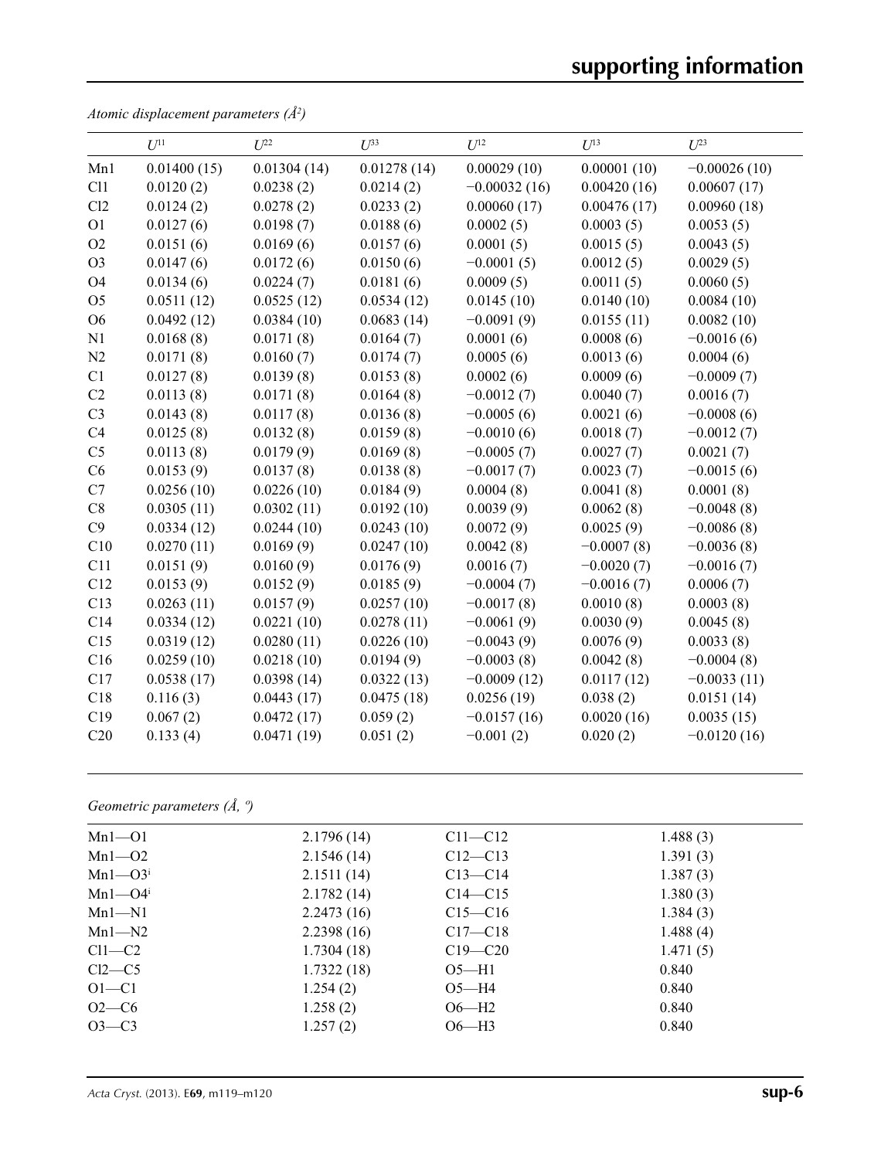|                | $U^{11}$    | $U^{22}$    | $U^{33}$    | $U^{12}$       | $U^{13}$     | $U^{23}$       |  |
|----------------|-------------|-------------|-------------|----------------|--------------|----------------|--|
| Mn1            | 0.01400(15) | 0.01304(14) | 0.01278(14) | 0.00029(10)    | 0.00001(10)  | $-0.00026(10)$ |  |
| Cl1            | 0.0120(2)   | 0.0238(2)   | 0.0214(2)   | $-0.00032(16)$ | 0.00420(16)  | 0.00607(17)    |  |
| Cl2            | 0.0124(2)   | 0.0278(2)   | 0.0233(2)   | 0.00060(17)    | 0.00476(17)  | 0.00960(18)    |  |
| O1             | 0.0127(6)   | 0.0198(7)   | 0.0188(6)   | 0.0002(5)      | 0.0003(5)    | 0.0053(5)      |  |
| O <sub>2</sub> | 0.0151(6)   | 0.0169(6)   | 0.0157(6)   | 0.0001(5)      | 0.0015(5)    | 0.0043(5)      |  |
| O <sub>3</sub> | 0.0147(6)   | 0.0172(6)   | 0.0150(6)   | $-0.0001(5)$   | 0.0012(5)    | 0.0029(5)      |  |
| O4             | 0.0134(6)   | 0.0224(7)   | 0.0181(6)   | 0.0009(5)      | 0.0011(5)    | 0.0060(5)      |  |
| O <sub>5</sub> | 0.0511(12)  | 0.0525(12)  | 0.0534(12)  | 0.0145(10)     | 0.0140(10)   | 0.0084(10)     |  |
| O6             | 0.0492(12)  | 0.0384(10)  | 0.0683(14)  | $-0.0091(9)$   | 0.0155(11)   | 0.0082(10)     |  |
| N1             | 0.0168(8)   | 0.0171(8)   | 0.0164(7)   | 0.0001(6)      | 0.0008(6)    | $-0.0016(6)$   |  |
| N2             | 0.0171(8)   | 0.0160(7)   | 0.0174(7)   | 0.0005(6)      | 0.0013(6)    | 0.0004(6)      |  |
| C1             | 0.0127(8)   | 0.0139(8)   | 0.0153(8)   | 0.0002(6)      | 0.0009(6)    | $-0.0009(7)$   |  |
| C <sub>2</sub> | 0.0113(8)   | 0.0171(8)   | 0.0164(8)   | $-0.0012(7)$   | 0.0040(7)    | 0.0016(7)      |  |
| C <sub>3</sub> | 0.0143(8)   | 0.0117(8)   | 0.0136(8)   | $-0.0005(6)$   | 0.0021(6)    | $-0.0008(6)$   |  |
| C4             | 0.0125(8)   | 0.0132(8)   | 0.0159(8)   | $-0.0010(6)$   | 0.0018(7)    | $-0.0012(7)$   |  |
| C <sub>5</sub> | 0.0113(8)   | 0.0179(9)   | 0.0169(8)   | $-0.0005(7)$   | 0.0027(7)    | 0.0021(7)      |  |
| C6             | 0.0153(9)   | 0.0137(8)   | 0.0138(8)   | $-0.0017(7)$   | 0.0023(7)    | $-0.0015(6)$   |  |
| C7             | 0.0256(10)  | 0.0226(10)  | 0.0184(9)   | 0.0004(8)      | 0.0041(8)    | 0.0001(8)      |  |
| C8             | 0.0305(11)  | 0.0302(11)  | 0.0192(10)  | 0.0039(9)      | 0.0062(8)    | $-0.0048(8)$   |  |
| C9             | 0.0334(12)  | 0.0244(10)  | 0.0243(10)  | 0.0072(9)      | 0.0025(9)    | $-0.0086(8)$   |  |
| C10            | 0.0270(11)  | 0.0169(9)   | 0.0247(10)  | 0.0042(8)      | $-0.0007(8)$ | $-0.0036(8)$   |  |
| C11            | 0.0151(9)   | 0.0160(9)   | 0.0176(9)   | 0.0016(7)      | $-0.0020(7)$ | $-0.0016(7)$   |  |
| C12            | 0.0153(9)   | 0.0152(9)   | 0.0185(9)   | $-0.0004(7)$   | $-0.0016(7)$ | 0.0006(7)      |  |
| C13            | 0.0263(11)  | 0.0157(9)   | 0.0257(10)  | $-0.0017(8)$   | 0.0010(8)    | 0.0003(8)      |  |
| C14            | 0.0334(12)  | 0.0221(10)  | 0.0278(11)  | $-0.0061(9)$   | 0.0030(9)    | 0.0045(8)      |  |
| C15            | 0.0319(12)  | 0.0280(11)  | 0.0226(10)  | $-0.0043(9)$   | 0.0076(9)    | 0.0033(8)      |  |
| C16            | 0.0259(10)  | 0.0218(10)  | 0.0194(9)   | $-0.0003(8)$   | 0.0042(8)    | $-0.0004(8)$   |  |
| C17            | 0.0538(17)  | 0.0398(14)  | 0.0322(13)  | $-0.0009(12)$  | 0.0117(12)   | $-0.0033(11)$  |  |
| C18            | 0.116(3)    | 0.0443(17)  | 0.0475(18)  | 0.0256(19)     | 0.038(2)     | 0.0151(14)     |  |
| C19            | 0.067(2)    | 0.0472(17)  | 0.059(2)    | $-0.0157(16)$  | 0.0020(16)   | 0.0035(15)     |  |
| C20            | 0.133(4)    | 0.0471(19)  | 0.051(2)    | $-0.001(2)$    | 0.020(2)     | $-0.0120(16)$  |  |

*Atomic displacement parameters (Å2 )*

# *Geometric parameters (Å, º)*

| $Mn1 - 01$              | 2.1796(14) | $C11 - C12$ | 1.488(3) |
|-------------------------|------------|-------------|----------|
| $Mn1 - 02$              | 2.1546(14) | $C12 - C13$ | 1.391(3) |
| $Mn1 - O3i$             | 2.1511(14) | $C13 - C14$ | 1.387(3) |
| $Mn1 - O4$ <sup>i</sup> | 2.1782(14) | $C14 - C15$ | 1.380(3) |
| $Mn1 - N1$              | 2.2473(16) | $C15 - C16$ | 1.384(3) |
| $Mn1-M2$                | 2.2398(16) | $C17 - C18$ | 1.488(4) |
| $Cl1-C2$                | 1.7304(18) | $C19 - C20$ | 1.471(5) |
| $Cl2-C5$                | 1.7322(18) | $O5 - H1$   | 0.840    |
| $O1 - C1$               | 1.254(2)   | $O5 - H4$   | 0.840    |
| $O2 - C6$               | 1.258(2)   | $O6-H2$     | 0.840    |
| $O3-C3$                 | 1.257(2)   | $O6-H3$     | 0.840    |
|                         |            |             |          |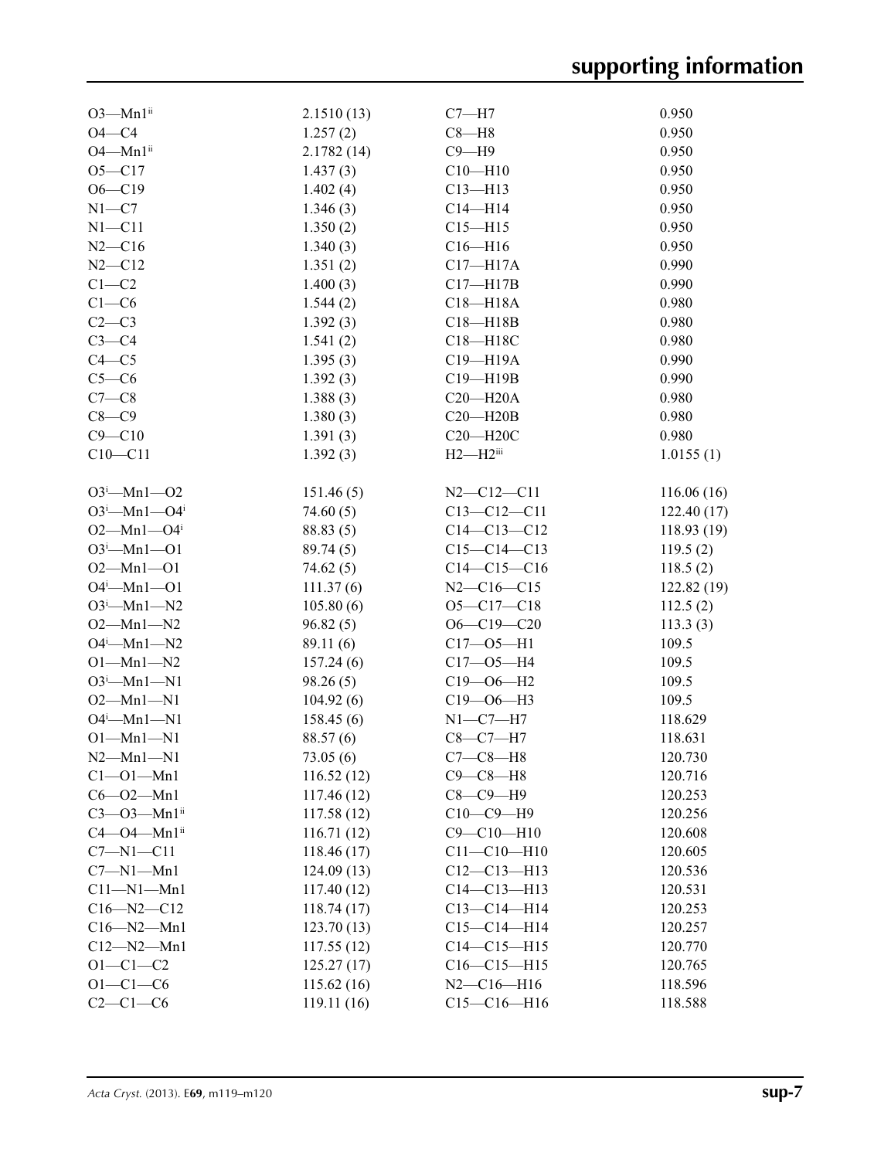| $O3$ —Mn $1ii$                | 2.1510(13) | $C7 - H7$              | 0.950      |
|-------------------------------|------------|------------------------|------------|
| $O4 - C4$                     | 1.257(2)   | $C8 - H8$              | 0.950      |
| $O4 - Mn1$ <sup>ii</sup>      | 2.1782(14) | $C9 - H9$              | 0.950      |
| $O5 - C17$                    | 1.437(3)   | $C10 - H10$            | 0.950      |
| $O6 - C19$                    | 1.402(4)   | $C13 - H13$            | 0.950      |
| $N1 - C7$                     | 1.346(3)   | $C14 - H14$            | 0.950      |
| $N1 - C11$                    | 1.350(2)   | $C15 - H15$            | 0.950      |
| $N2-C16$                      | 1.340(3)   | $C16 - H16$            | 0.950      |
| $N2 - C12$                    | 1.351(2)   | $C17 - H17A$           | 0.990      |
| $C1 - C2$                     | 1.400(3)   | $C17 - H17B$           | 0.990      |
| $C1-C6$                       | 1.544(2)   | $C18 - H18A$           | 0.980      |
| $C2-C3$                       | 1.392(3)   | $C18 - H18B$           | 0.980      |
| $C3-C4$                       | 1.541(2)   | C18-H18C               | 0.980      |
| $C4 - C5$                     |            | C19-H19A               | 0.990      |
|                               | 1.395(3)   |                        |            |
| $C5-C6$                       | 1.392(3)   | C19-H19B               | 0.990      |
| $C7-C8$                       | 1.388(3)   | $C20 - H20A$           | 0.980      |
| $C8 - C9$                     | 1.380(3)   | $C20 - H20B$           | 0.980      |
| $C9 - C10$                    | 1.391(3)   | $C20 - H20C$           | 0.980      |
| $C10 - C11$                   | 1.392(3)   | $H2-H2$ <sup>iii</sup> | 1.0155(1)  |
| $O3^i$ -Mn1- $O2$             | 151.46(5)  | $N2 - C12 - C11$       | 116.06(16) |
| $O3^i$ -Mn1- $O4^i$           | 74.60(5)   | $C13 - C12 - C11$      | 122.40(17) |
| $O2 - Mn1 - O4$               | 88.83 (5)  | $C14 - C13 - C12$      | 118.93(19) |
| $O3^i$ -Mn1- $O1$             | 89.74(5)   | $C15-C14-C13$          | 119.5(2)   |
| $O2 - Mn1 - O1$               | 74.62(5)   | $C14-C15-C16$          | 118.5(2)   |
| $O4^i$ -Mn1- $O1$             | 111.37(6)  | $N2 - C16 - C15$       | 122.82(19) |
| $O3^i$ -Mn1-N2                | 105.80(6)  | $O5 - C17 - C18$       | 112.5(2)   |
| $O2 - Mn1 - N2$               | 96.82(5)   | $O6 - C19 - C20$       | 113.3(3)   |
| $O4^i$ —Mn1—N2                |            | $C17 - 05 - H1$        | 109.5      |
|                               | 89.11(6)   |                        |            |
| $O1 - Mn1 - N2$               | 157.24(6)  | $C17 - 05 - H4$        | 109.5      |
| $O3^i$ -Mn1-N1                | 98.26(5)   | $C19 - 06 - H2$        | 109.5      |
| $O2 - Mn1 - N1$               | 104.92(6)  | $C19 - 06 - H3$        | 109.5      |
| $O4^i$ -Mn1-N1                | 158.45(6)  | $N1-C7-H7$             | 118.629    |
| $O1-Mn1-N1$                   | 88.57 (6)  | $C8-C7-H7$             | 118.631    |
| $N2 - Mn1 - N1$               | 73.05(6)   | $C7-C8-H8$             | 120.730    |
| $Cl$ -Ol-Mnl                  | 116.52(12) | $C9-C8-H8$             | 120.716    |
| $C6 - O2 - Mn1$               | 117.46(12) | $C8-C9-H9$             | 120.253    |
| $C3 - O3 - Mn1$ <sup>ii</sup> | 117.58(12) | $C10-C9-H9$            | 120.256    |
| $C4 - O4 - Mn1$ ii            | 116.71(12) | $C9 - C10 - H10$       | 120.608    |
| $C7 - N1 - C11$               | 118.46(17) | $C11 - C10 - H10$      | 120.605    |
| $C7 - N1 - Mn1$               | 124.09(13) | $C12-C13-H13$          | 120.536    |
| $C11 - N1 - Mn1$              | 117.40(12) | $C14 - C13 - H13$      | 120.531    |
| $C16 - N2 - C12$              | 118.74(17) | $C13 - C14 - H14$      | 120.253    |
| $C16 - N2 - Mn1$              | 123.70(13) | $C15-C14-H14$          | 120.257    |
| $C12 - N2 - Mn1$              | 117.55(12) | $C14 - C15 - H15$      | 120.770    |
| $O1 - C1 - C2$                | 125.27(17) | $C16 - C15 - H15$      | 120.765    |
| $O1 - C1 - C6$                | 115.62(16) | $N2-C16-H16$           | 118.596    |
| $C2-C1-C6$                    | 119.11(16) | $C15-C16-H16$          | 118.588    |